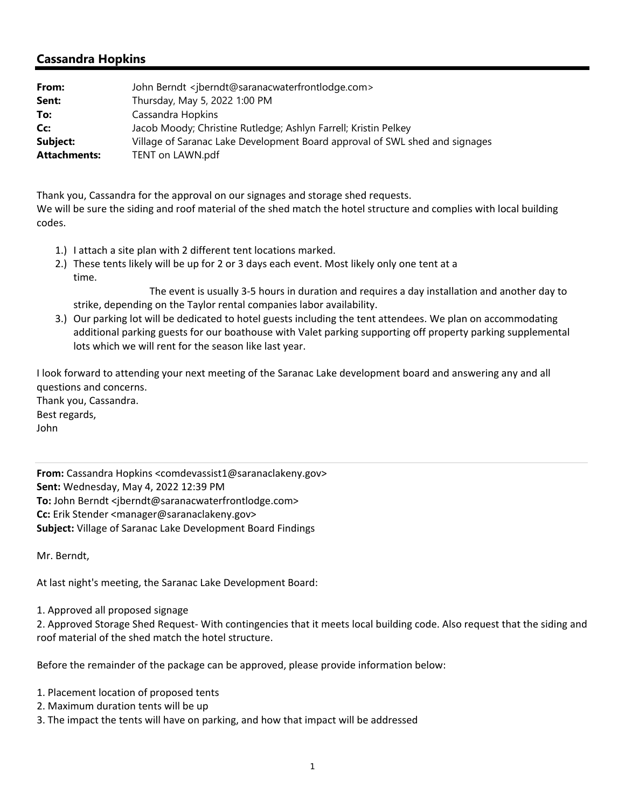## **Cassandra Hopkins**

| From:               | John Berndt <jberndt@saranacwaterfrontlodge.com></jberndt@saranacwaterfrontlodge.com> |
|---------------------|---------------------------------------------------------------------------------------|
| Sent:               | Thursday, May 5, 2022 1:00 PM                                                         |
| To:                 | Cassandra Hopkins                                                                     |
| Cc:                 | Jacob Moody; Christine Rutledge; Ashlyn Farrell; Kristin Pelkey                       |
| Subject:            | Village of Saranac Lake Development Board approval of SWL shed and signages           |
| <b>Attachments:</b> | TENT on LAWN.pdf                                                                      |

Thank you, Cassandra for the approval on our signages and storage shed requests. We will be sure the siding and roof material of the shed match the hotel structure and complies with local building codes.

- 1.) I attach a site plan with 2 different tent locations marked.
- 2.) These tents likely will be up for 2 or 3 days each event. Most likely only one tent at a time.

 The event is usually 3‐5 hours in duration and requires a day installation and another day to strike, depending on the Taylor rental companies labor availability.

3.) Our parking lot will be dedicated to hotel guests including the tent attendees. We plan on accommodating additional parking guests for our boathouse with Valet parking supporting off property parking supplemental lots which we will rent for the season like last year.

I look forward to attending your next meeting of the Saranac Lake development board and answering any and all questions and concerns. Thank you, Cassandra. Best regards, John

**From:** Cassandra Hopkins <comdevassist1@saranaclakeny.gov> **Sent:** Wednesday, May 4, 2022 12:39 PM **To:** John Berndt <jberndt@saranacwaterfrontlodge.com> **Cc:** Erik Stender <manager@saranaclakeny.gov> **Subject:** Village of Saranac Lake Development Board Findings

Mr. Berndt,

At last night's meeting, the Saranac Lake Development Board:

1. Approved all proposed signage

2. Approved Storage Shed Request‐ With contingencies that it meets local building code. Also request that the siding and roof material of the shed match the hotel structure.

Before the remainder of the package can be approved, please provide information below:

- 1. Placement location of proposed tents
- 2. Maximum duration tents will be up
- 3. The impact the tents will have on parking, and how that impact will be addressed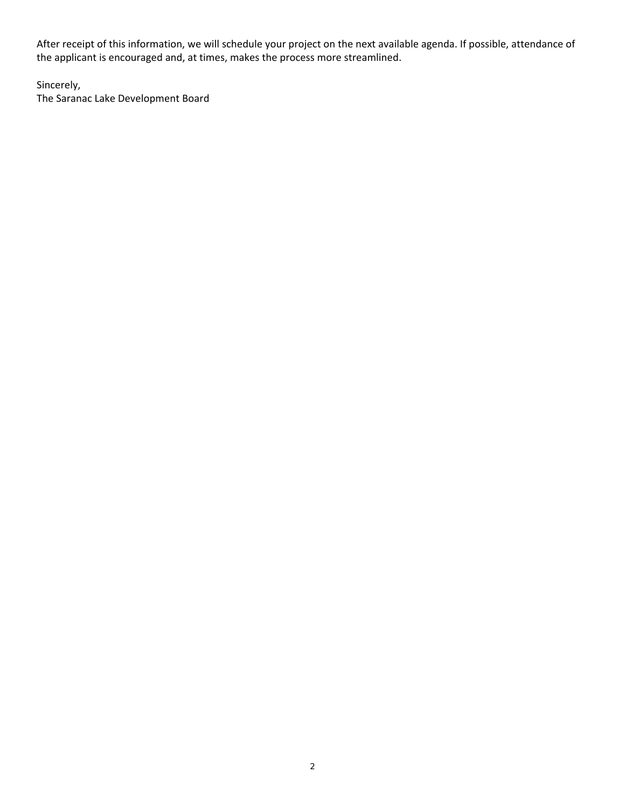After receipt of this information, we will schedule your project on the next available agenda. If possible, attendance of the applicant is encouraged and, at times, makes the process more streamlined.

Sincerely,

The Saranac Lake Development Board